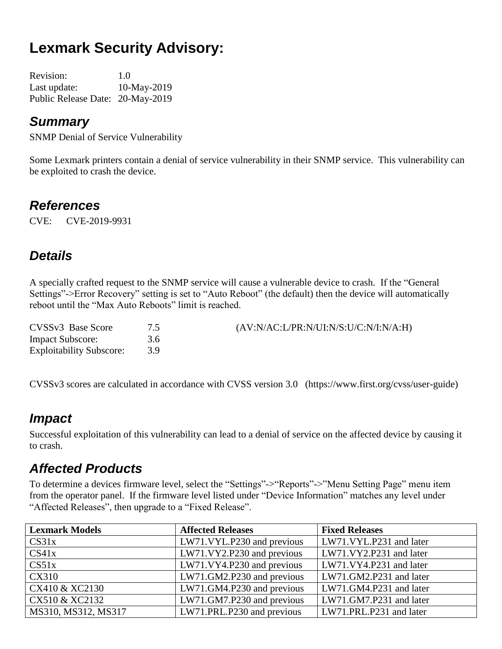# **Lexmark Security Advisory:**

| <b>Revision:</b>                 | 1.0         |
|----------------------------------|-------------|
| Last update:                     | 10-May-2019 |
| Public Release Date: 20-May-2019 |             |

#### *Summary*

SNMP Denial of Service Vulnerability

Some Lexmark printers contain a denial of service vulnerability in their SNMP service. This vulnerability can be exploited to crash the device.

#### *References*

CVE: CVE-2019-9931

# *Details*

A specially crafted request to the SNMP service will cause a vulnerable device to crash. If the "General Settings"->Error Recovery" setting is set to "Auto Reboot" (the default) then the device will automatically reboot until the "Max Auto Reboots" limit is reached.

| CVSSv3 Base Score               |     | $(AV:N/AC: L/PR:N/UI:N/S: U/C:N/I:N/A:H)$ |
|---------------------------------|-----|-------------------------------------------|
| <b>Impact Subscore:</b>         | 3.6 |                                           |
| <b>Exploitability Subscore:</b> |     |                                           |

CVSSv3 scores are calculated in accordance with CVSS version 3.0 (https://www.first.org/cvss/user-guide)

### *Impact*

Successful exploitation of this vulnerability can lead to a denial of service on the affected device by causing it to crash.

### *Affected Products*

To determine a devices firmware level, select the "Settings"->"Reports"->"Menu Setting Page" menu item from the operator panel. If the firmware level listed under "Device Information" matches any level under "Affected Releases", then upgrade to a "Fixed Release".

| <b>Lexmark Models</b> | <b>Affected Releases</b>   | <b>Fixed Releases</b>   |
|-----------------------|----------------------------|-------------------------|
| CS31x                 | LW71.VYL.P230 and previous | LW71.VYL.P231 and later |
| CS41x                 | LW71.VY2.P230 and previous | LW71.VY2.P231 and later |
| CS51x                 | LW71.VY4.P230 and previous | LW71.VY4.P231 and later |
| CX310                 | LW71.GM2.P230 and previous | LW71.GM2.P231 and later |
| CX410 & XC2130        | LW71.GM4.P230 and previous | LW71.GM4.P231 and later |
| CX510 & XC2132        | LW71.GM7.P230 and previous | LW71.GM7.P231 and later |
| MS310, MS312, MS317   | LW71.PRL.P230 and previous | LW71.PRL.P231 and later |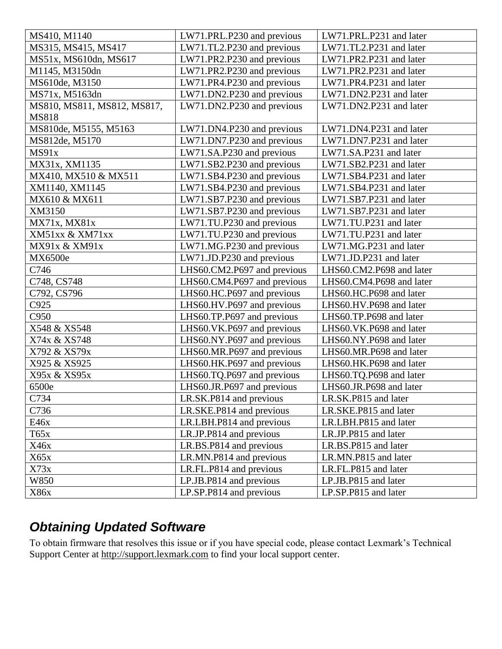| MS410, M1140                | LW71.PRL.P230 and previous  | LW71.PRL.P231 and later  |
|-----------------------------|-----------------------------|--------------------------|
| MS315, MS415, MS417         | LW71.TL2.P230 and previous  | LW71.TL2.P231 and later  |
| MS51x, MS610dn, MS617       | LW71.PR2.P230 and previous  | LW71.PR2.P231 and later  |
| M1145, M3150dn              | LW71.PR2.P230 and previous  | LW71.PR2.P231 and later  |
| MS610de, M3150              | LW71.PR4.P230 and previous  | LW71.PR4.P231 and later  |
| MS71x, M5163dn              | LW71.DN2.P230 and previous  | LW71.DN2.P231 and later  |
| MS810, MS811, MS812, MS817, | LW71.DN2.P230 and previous  | LW71.DN2.P231 and later  |
| <b>MS818</b>                |                             |                          |
| MS810de, M5155, M5163       | LW71.DN4.P230 and previous  | LW71.DN4.P231 and later  |
| MS812de, M5170              | LW71.DN7.P230 and previous  | LW71.DN7.P231 and later  |
| MS91x                       | LW71.SA.P230 and previous   | LW71.SA.P231 and later   |
| MX31x, XM1135               | LW71.SB2.P230 and previous  | LW71.SB2.P231 and later  |
| MX410, MX510 & MX511        | LW71.SB4.P230 and previous  | LW71.SB4.P231 and later  |
| XM1140, XM1145              | LW71.SB4.P230 and previous  | LW71.SB4.P231 and later  |
| MX610 & MX611               | LW71.SB7.P230 and previous  | LW71.SB7.P231 and later  |
| XM3150                      | LW71.SB7.P230 and previous  | LW71.SB7.P231 and later  |
| MX71x, MX81x                | LW71.TU.P230 and previous   | LW71.TU.P231 and later   |
| XM51xx & XM71xx             | LW71.TU.P230 and previous   | LW71.TU.P231 and later   |
| MX91x & XM91x               | LW71.MG.P230 and previous   | LW71.MG.P231 and later   |
| MX6500e                     | LW71.JD.P230 and previous   | LW71.JD.P231 and later   |
| C746                        | LHS60.CM2.P697 and previous | LHS60.CM2.P698 and later |
| C748, CS748                 | LHS60.CM4.P697 and previous | LHS60.CM4.P698 and later |
| C792, CS796                 | LHS60.HC.P697 and previous  | LHS60.HC.P698 and later  |
| C925                        | LHS60.HV.P697 and previous  | LHS60.HV.P698 and later  |
| C950                        | LHS60.TP.P697 and previous  | LHS60.TP.P698 and later  |
| X548 & XS548                | LHS60.VK.P697 and previous  | LHS60.VK.P698 and later  |
| X74x & XS748                | LHS60.NY.P697 and previous  | LHS60.NY.P698 and later  |
| X792 & XS79x                | LHS60.MR.P697 and previous  | LHS60.MR.P698 and later  |
| X925 & XS925                | LHS60.HK.P697 and previous  | LHS60.HK.P698 and later  |
| X95x & XS95x                | LHS60.TQ.P697 and previous  | LHS60.TQ.P698 and later  |
| 6500e                       | LHS60.JR.P697 and previous  | LHS60.JR.P698 and later  |
| C734                        | LR.SK.P814 and previous     | LR.SK.P815 and later     |
| C736                        | LR.SKE.P814 and previous    | LR.SKE.P815 and later    |
| E46x                        | LR.LBH.P814 and previous    | LR.LBH.P815 and later    |
| T65x                        | LR.JP.P814 and previous     | LR.JP.P815 and later     |
| X46x                        | LR.BS.P814 and previous     | LR.BS.P815 and later     |
| X65x                        | LR.MN.P814 and previous     | LR.MN.P815 and later     |
| X73x                        | LR.FL.P814 and previous     | LR.FL.P815 and later     |
| W850                        | LP.JB.P814 and previous     | LP.JB.P815 and later     |
| X86x                        | LP.SP.P814 and previous     | LP.SP.P815 and later     |

# *Obtaining Updated Software*

To obtain firmware that resolves this issue or if you have special code, please contact Lexmark's Technical Support Center at [http://support.lexmark.com](http://support.lexmark.com/) to find your local support center.